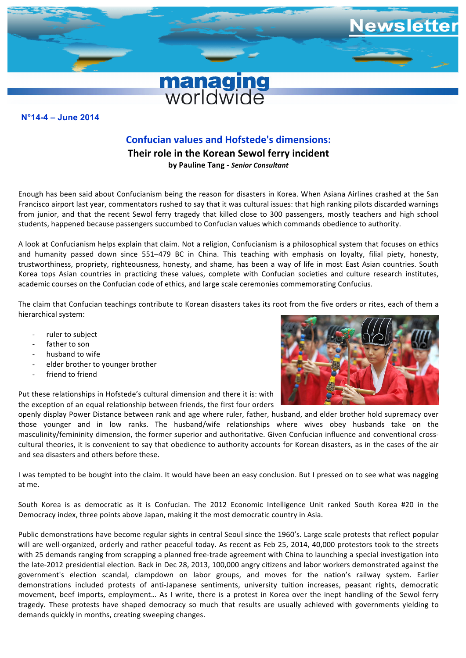

## **N°11-7 – December 2011 N°14-4 – June 2014**

## **Confucian values and Hofstede's dimensions:**

**Their role in the Korean Sewol ferry incident by Pauline Tang -** *Senior Consultant*

Enough has been said about Confucianism being the reason for disasters in Korea. When Asiana Airlines crashed at the San Francisco airport last year, commentators rushed to say that it was cultural issues: that high ranking pilots discarded warnings from junior, and that the recent Sewol ferry tragedy that killed close to 300 passengers, mostly teachers and high school students, happened because passengers succumbed to Confucian values which commands obedience to authority.

A look at Confucianism helps explain that claim. Not a religion, Confucianism is a philosophical system that focuses on ethics and humanity passed down since 551–479 BC in China. This teaching with emphasis on loyalty, filial piety, honesty, trustworthiness, propriety, righteousness, honesty, and shame, has been a way of life in most East Asian countries. South Korea tops Asian countries in practicing these values, complete with Confucian societies and culture research institutes, academic courses on the Confucian code of ethics, and large scale ceremonies commemorating Confucius.

The claim that Confucian teachings contribute to Korean disasters takes its root from the five orders or rites, each of them a hierarchical system:

- ruler to subject
- father to son
- husband to wife
- elder brother to younger brother
- friend to friend

Put these relationships in Hofstede's cultural dimension and there it is: with the exception of an equal relationship between friends, the first four orders



openly display Power Distance between rank and age where ruler, father, husband, and elder brother hold supremacy over those younger and in low ranks. The husband/wife relationships where wives obey husbands take on the masculinity/femininity dimension, the former superior and authoritative. Given Confucian influence and conventional crosscultural theories, it is convenient to say that obedience to authority accounts for Korean disasters, as in the cases of the air and sea disasters and others before these.

I was tempted to be bought into the claim. It would have been an easy conclusion. But I pressed on to see what was nagging at me.

South Korea is as democratic as it is Confucian. The 2012 Economic Intelligence Unit ranked South Korea #20 in the Democracy index, three points above Japan, making it the most democratic country in Asia.

Public demonstrations have become regular sights in central Seoul since the 1960's. Large scale protests that reflect popular will are well-organized, orderly and rather peaceful today. As recent as Feb 25, 2014, 40,000 protestors took to the streets with 25 demands ranging from scrapping a planned free-trade agreement with China to launching a special investigation into the late-2012 presidential election. Back in Dec 28, 2013, 100,000 angry citizens and labor workers demonstrated against the government's election scandal, clampdown on labor groups, and moves for the nation's railway system. Earlier demonstrations included protests of anti-Japanese sentiments, university tuition increases, peasant rights, democratic movement, beef imports, employment... As I write, there is a protest in Korea over the inept handling of the Sewol ferry tragedy. These protests have shaped democracy so much that results are usually achieved with governments yielding to demands quickly in months, creating sweeping changes.